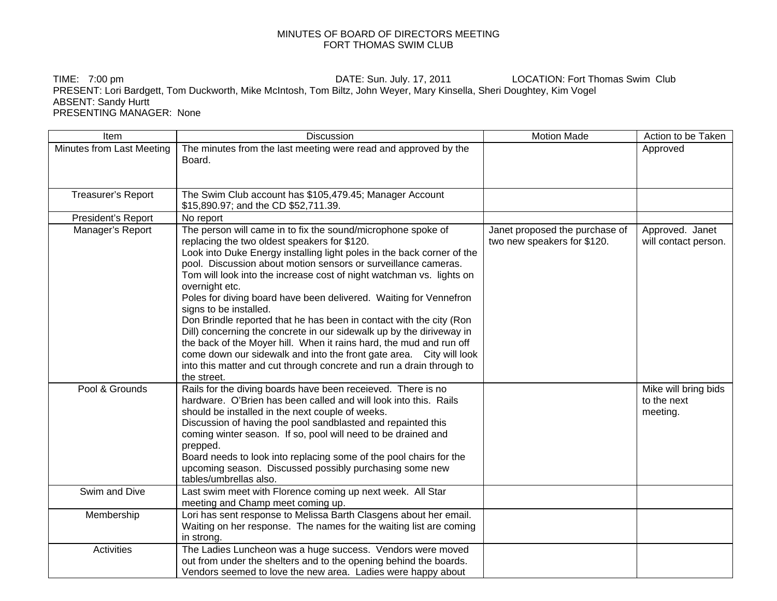## MINUTES OF BOARD OF DIRECTORS MEETING FORT THOMAS SWIM CLUB

TIME: 7:00 pm **DATE:** Sun. July. 17, 2011 LOCATION: Fort Thomas Swim Club PRESENT: Lori Bardgett, Tom Duckworth, Mike McIntosh, Tom Biltz, John Weyer, Mary Kinsella, Sheri Doughtey, Kim Vogel ABSENT: Sandy Hurtt PRESENTING MANAGER: None

| Item                      | <b>Discussion</b>                                                                                                                                                                                                                                                                                                                                                                                                                                                                                                                                                                                                                                                                                                                                                                                                                     | <b>Motion Made</b>                                            | Action to be Taken                              |
|---------------------------|---------------------------------------------------------------------------------------------------------------------------------------------------------------------------------------------------------------------------------------------------------------------------------------------------------------------------------------------------------------------------------------------------------------------------------------------------------------------------------------------------------------------------------------------------------------------------------------------------------------------------------------------------------------------------------------------------------------------------------------------------------------------------------------------------------------------------------------|---------------------------------------------------------------|-------------------------------------------------|
| Minutes from Last Meeting | The minutes from the last meeting were read and approved by the<br>Board.                                                                                                                                                                                                                                                                                                                                                                                                                                                                                                                                                                                                                                                                                                                                                             |                                                               | Approved                                        |
| Treasurer's Report        | The Swim Club account has \$105,479.45; Manager Account<br>\$15,890.97; and the CD \$52,711.39.                                                                                                                                                                                                                                                                                                                                                                                                                                                                                                                                                                                                                                                                                                                                       |                                                               |                                                 |
| President's Report        | No report                                                                                                                                                                                                                                                                                                                                                                                                                                                                                                                                                                                                                                                                                                                                                                                                                             |                                                               |                                                 |
| Manager's Report          | The person will came in to fix the sound/microphone spoke of<br>replacing the two oldest speakers for \$120.<br>Look into Duke Energy installing light poles in the back corner of the<br>pool. Discussion about motion sensors or surveillance cameras.<br>Tom will look into the increase cost of night watchman vs. lights on<br>overnight etc.<br>Poles for diving board have been delivered. Waiting for Vennefron<br>signs to be installed.<br>Don Brindle reported that he has been in contact with the city (Ron<br>Dill) concerning the concrete in our sidewalk up by the diriveway in<br>the back of the Moyer hill. When it rains hard, the mud and run off<br>come down our sidewalk and into the front gate area. City will look<br>into this matter and cut through concrete and run a drain through to<br>the street. | Janet proposed the purchase of<br>two new speakers for \$120. | Approved. Janet<br>will contact person.         |
| Pool & Grounds            | Rails for the diving boards have been receieved. There is no<br>hardware. O'Brien has been called and will look into this. Rails<br>should be installed in the next couple of weeks.<br>Discussion of having the pool sandblasted and repainted this<br>coming winter season. If so, pool will need to be drained and<br>prepped.<br>Board needs to look into replacing some of the pool chairs for the<br>upcoming season. Discussed possibly purchasing some new<br>tables/umbrellas also.                                                                                                                                                                                                                                                                                                                                          |                                                               | Mike will bring bids<br>to the next<br>meeting. |
| Swim and Dive             | Last swim meet with Florence coming up next week. All Star<br>meeting and Champ meet coming up.                                                                                                                                                                                                                                                                                                                                                                                                                                                                                                                                                                                                                                                                                                                                       |                                                               |                                                 |
| Membership                | Lori has sent response to Melissa Barth Clasgens about her email.<br>Waiting on her response. The names for the waiting list are coming<br>in strong.                                                                                                                                                                                                                                                                                                                                                                                                                                                                                                                                                                                                                                                                                 |                                                               |                                                 |
| Activities                | The Ladies Luncheon was a huge success. Vendors were moved<br>out from under the shelters and to the opening behind the boards.<br>Vendors seemed to love the new area. Ladies were happy about                                                                                                                                                                                                                                                                                                                                                                                                                                                                                                                                                                                                                                       |                                                               |                                                 |